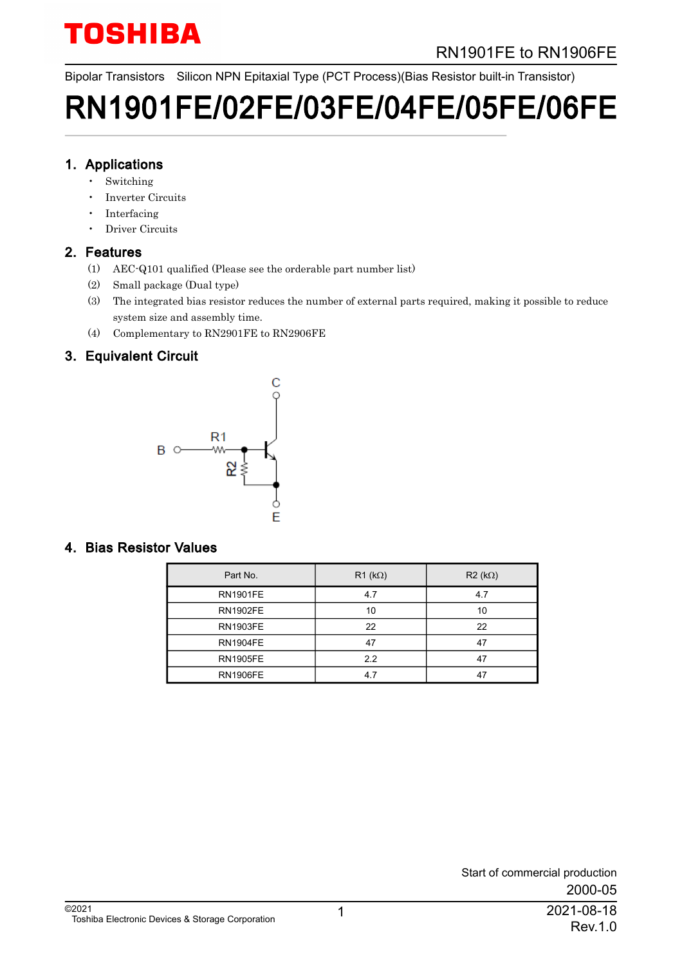# RN1901FE to RN1906FE

Bipolar Transistors Silicon NPN Epitaxial Type (PCT Process)(Bias Resistor built-in Transistor)

# RN1901FE/02FE/03FE/04FE/05FE/06FE

### 1. Applications

- **Switching**
- Inverter Circuits
- **Interfacing**
- Driver Circuits

### 2. Features

- (1) AEC-Q101 qualified (Please see the orderable part number list)
- (2) Small package (Dual type)
- (3) The integrated bias resistor reduces the number of external parts required, making it possible to reduce system size and assembly time.
- (4) Complementary to RN2901FE to RN2906FE

### 3. Equivalent Circuit



### 4. Bias Resistor Values

| Part No.        | $R1$ (k $\Omega$ ) | $R2 (k\Omega)$ |
|-----------------|--------------------|----------------|
| <b>RN1901FE</b> | 4.7                | 4.7            |
| <b>RN1902FE</b> | 10                 | 10             |
| <b>RN1903FE</b> | 22                 | 22             |
| <b>RN1904FE</b> | 47                 | 47             |
| <b>RN1905FE</b> | 2.2                | 47             |
| <b>RN1906FE</b> | 4.7                | 47             |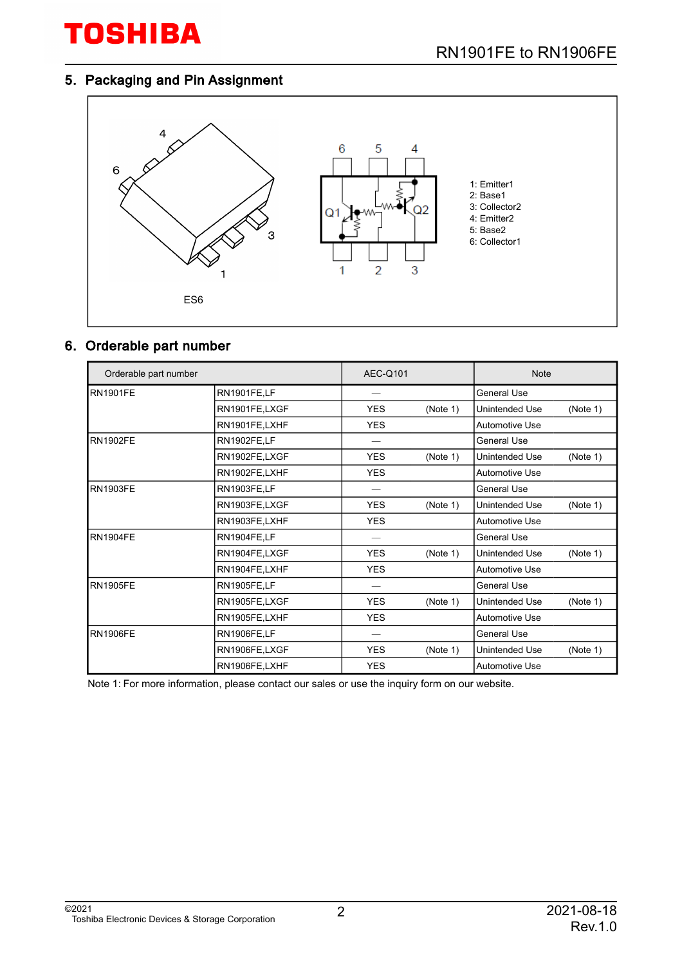## 5. Packaging and Pin Assignment



#### 6. Orderable part number

| Orderable part number |                    | <b>AEC-Q101</b> |          | <b>Note</b>           |          |
|-----------------------|--------------------|-----------------|----------|-----------------------|----------|
| <b>RN1901FE</b>       | RN1901FE,LF        |                 |          | General Use           |          |
|                       | RN1901FE,LXGF      | <b>YES</b>      | (Note 1) | Unintended Use        | (Note 1) |
|                       | RN1901FE,LXHF      | <b>YES</b>      |          | <b>Automotive Use</b> |          |
| <b>RN1902FE</b>       | RN1902FE,LF        |                 |          | <b>General Use</b>    |          |
|                       | RN1902FE,LXGF      | <b>YES</b>      | (Note 1) | Unintended Use        | (Note 1) |
|                       | RN1902FE,LXHF      | <b>YES</b>      |          | <b>Automotive Use</b> |          |
| <b>RN1903FE</b>       | RN1903FE,LF        |                 |          | General Use           |          |
|                       | RN1903FE,LXGF      | <b>YES</b>      | (Note 1) | Unintended Use        | (Note 1) |
|                       | RN1903FE,LXHF      | <b>YES</b>      |          | <b>Automotive Use</b> |          |
| <b>RN1904FE</b>       | RN1904FE,LF        |                 |          | General Use           |          |
|                       | RN1904FE,LXGF      | <b>YES</b>      | (Note 1) | Unintended Use        | (Note 1) |
|                       | RN1904FE,LXHF      | <b>YES</b>      |          | Automotive Use        |          |
| <b>RN1905FE</b>       | <b>RN1905FE,LF</b> |                 |          | <b>General Use</b>    |          |
|                       | RN1905FE,LXGF      | <b>YES</b>      | (Note 1) | Unintended Use        | (Note 1) |
|                       | RN1905FE,LXHF      | <b>YES</b>      |          | Automotive Use        |          |
| <b>RN1906FE</b>       | <b>RN1906FE,LF</b> |                 |          | <b>General Use</b>    |          |
|                       | RN1906FE,LXGF      | <b>YES</b>      | (Note 1) | Unintended Use        | (Note 1) |
|                       | RN1906FE,LXHF      | <b>YES</b>      |          | <b>Automotive Use</b> |          |

Note 1: For more information, please contact our sales or use the inquiry form on our website.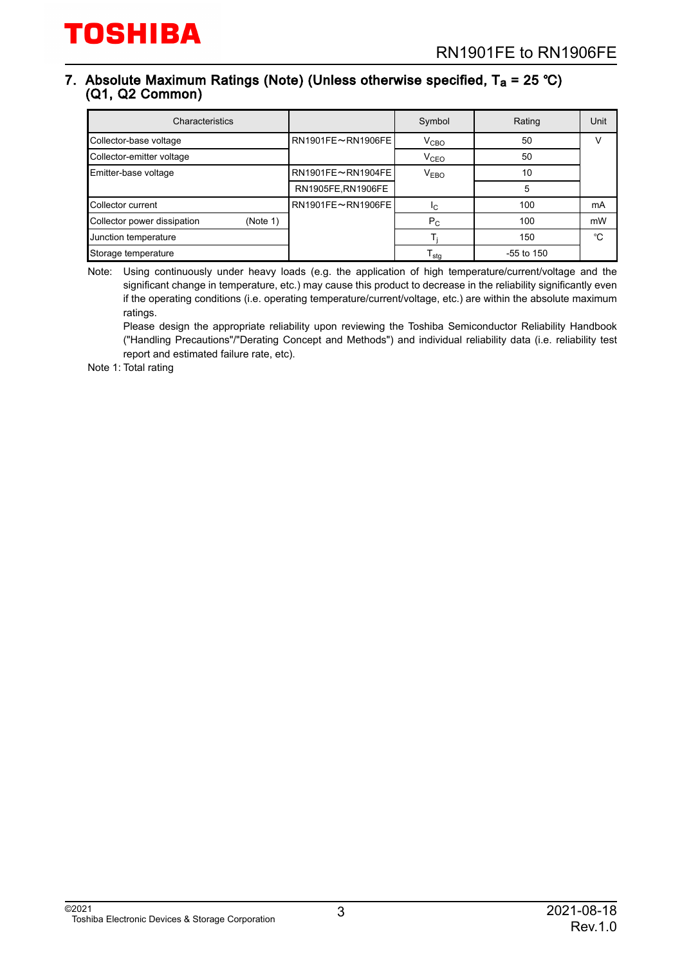#### 7. Absolute Maximum Ratings (Note) (Unless otherwise specified, T<sub>a</sub> = 25 °C) (Q1, Q2 Common)

| Characteristics                         |                   | Symbol           | Rating       | Unit |
|-----------------------------------------|-------------------|------------------|--------------|------|
| Collector-base voltage                  | RN1901FE~RN1906FE | V <sub>CBO</sub> | 50           | V    |
| Collector-emitter voltage               |                   | V <sub>CEO</sub> | 50           |      |
| Emitter-base voltage                    | RN1901FE~RN1904FE | V <sub>EBO</sub> | 10           |      |
|                                         | RN1905FE,RN1906FE |                  | 5            |      |
| Collector current                       | RN1901FE~RN1906FE | IC.              | 100          | mA   |
| Collector power dissipation<br>(Note 1) |                   | $P_{C}$          | 100          | mW   |
| Junction temperature                    |                   |                  | 150          | °C   |
| Storage temperature                     |                   | l <sub>stg</sub> | $-55$ to 150 |      |

Note: Using continuously under heavy loads (e.g. the application of high temperature/current/voltage and the significant change in temperature, etc.) may cause this product to decrease in the reliability significantly even if the operating conditions (i.e. operating temperature/current/voltage, etc.) are within the absolute maximum ratings.

Please design the appropriate reliability upon reviewing the Toshiba Semiconductor Reliability Handbook ("Handling Precautions"/"Derating Concept and Methods") and individual reliability data (i.e. reliability test report and estimated failure rate, etc).

Note 1: Total rating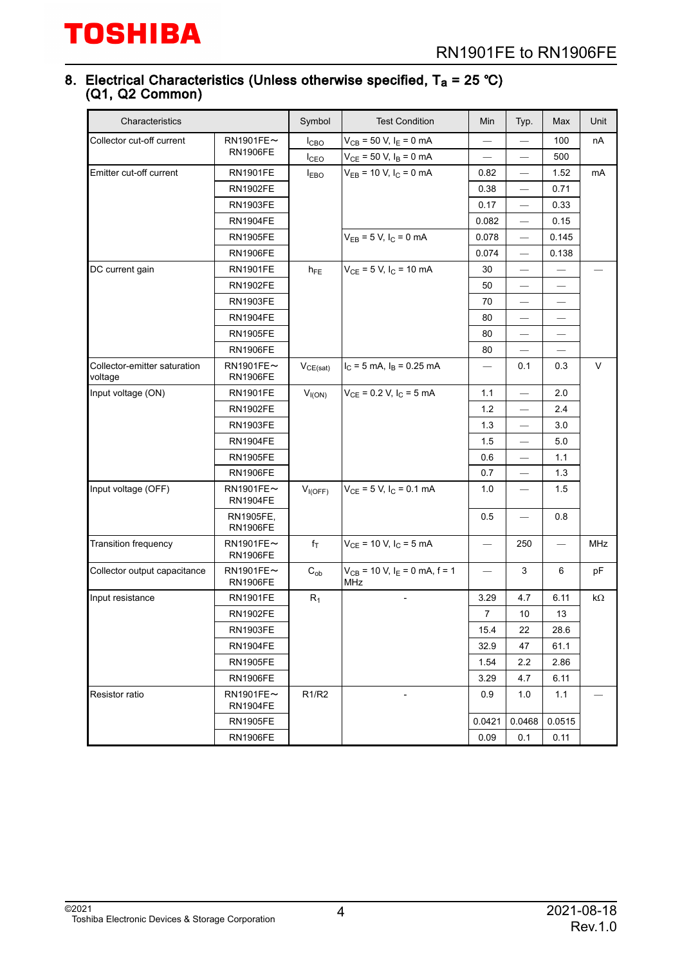#### 8. Electrical Characteristics (Unless otherwise specified, T<sub>a</sub> = 25 ℃) (Q1, Q2 Common)

| Characteristics                         |                                    | Symbol           | <b>Test Condition</b>                                | Min                      | Typ.                           | Max    | Unit |
|-----------------------------------------|------------------------------------|------------------|------------------------------------------------------|--------------------------|--------------------------------|--------|------|
| Collector cut-off current               | $RN1901FE \sim$                    | I <sub>CBO</sub> | $V_{CB}$ = 50 V, $I_E$ = 0 mA                        |                          |                                | 100    | nA   |
|                                         | <b>RN1906FE</b>                    | $I_{\text{CEO}}$ | $V_{CE}$ = 50 V, $I_B$ = 0 mA                        |                          | $\overline{\phantom{0}}$       | 500    |      |
| Emitter cut-off current                 | <b>RN1901FE</b>                    | <b>IEBO</b>      | $V_{EB}$ = 10 V, $I_C$ = 0 mA                        | 0.82                     | $\overline{\phantom{0}}$       | 1.52   | mA   |
|                                         | <b>RN1902FE</b>                    |                  |                                                      | 0.38                     |                                | 0.71   |      |
|                                         | <b>RN1903FE</b>                    |                  |                                                      | 0.17                     | $\overline{\phantom{0}}$       | 0.33   |      |
|                                         | <b>RN1904FE</b>                    |                  |                                                      | 0.082                    | $\overline{\phantom{0}}$       | 0.15   |      |
|                                         | <b>RN1905FE</b>                    |                  | $V_{EB} = 5 V, I_C = 0 mA$                           | 0.078                    |                                | 0.145  |      |
|                                         | <b>RN1906FE</b>                    |                  |                                                      | 0.074                    | $\overline{\phantom{0}}$       | 0.138  |      |
| DC current gain                         | <b>RN1901FE</b>                    | $h_{FE}$         | $V_{CE}$ = 5 V, $I_C$ = 10 mA                        | 30                       | $\qquad \qquad \longleftarrow$ |        |      |
|                                         | <b>RN1902FE</b>                    |                  |                                                      | 50                       |                                |        |      |
|                                         | <b>RN1903FE</b>                    |                  |                                                      | 70                       | $\overline{\phantom{0}}$       |        |      |
|                                         | <b>RN1904FE</b>                    |                  |                                                      | 80                       | $\qquad \qquad \longleftarrow$ |        |      |
|                                         | <b>RN1905FE</b>                    |                  |                                                      | 80                       |                                |        |      |
|                                         | <b>RN1906FE</b>                    |                  |                                                      | 80                       |                                |        |      |
| Collector-emitter saturation<br>voltage | $RN1901FE \sim$<br><b>RN1906FE</b> | $V_{CE(sat)}$    | $I_C = 5$ mA, $I_B = 0.25$ mA                        |                          | 0.1                            | 0.3    | V    |
| Input voltage (ON)                      | <b>RN1901FE</b>                    | $V_{I(ON)}$      | $V_{CE}$ = 0.2 V, I <sub>C</sub> = 5 mA              | $1.1$                    | $\overline{\phantom{0}}$       | 2.0    |      |
|                                         | <b>RN1902FE</b>                    |                  |                                                      | 1.2                      |                                | 2.4    |      |
|                                         | <b>RN1903FE</b>                    |                  |                                                      | 1.3                      |                                | 3.0    |      |
|                                         | <b>RN1904FE</b>                    |                  |                                                      | 1.5                      | $\overline{\phantom{0}}$       | 5.0    |      |
|                                         | <b>RN1905FE</b>                    |                  |                                                      | 0.6                      |                                | 1.1    |      |
|                                         | <b>RN1906FE</b>                    |                  |                                                      | 0.7                      |                                | 1.3    |      |
| Input voltage (OFF)                     | $RN1901FE \sim$<br><b>RN1904FE</b> | $V_{I(OFF)}$     | $V_{CE}$ = 5 V, $I_C$ = 0.1 mA                       | 1.0                      | $\qquad \qquad \longleftarrow$ | 1.5    |      |
|                                         | RN1905FE,<br><b>RN1906FE</b>       |                  |                                                      | 0.5                      | $\overline{\phantom{0}}$       | 0.8    |      |
| Transition frequency                    | $RN1901FE$ ~<br><b>RN1906FE</b>    | $f_T$            | $V_{CE}$ = 10 V, $I_C$ = 5 mA                        |                          | 250                            |        | MHz  |
| Collector output capacitance            | $RN1901FE$ ~<br><b>RN1906FE</b>    | $C_{ob}$         | $V_{CB}$ = 10 V, I <sub>E</sub> = 0 mA, f = 1<br>MHz | $\overline{\phantom{0}}$ | 3                              | 6      | pF   |
| Input resistance                        | <b>RN1901FE</b>                    | $R_1$            |                                                      | 3.29                     | 4.7                            | 6.11   | kΩ   |
|                                         | <b>RN1902FE</b>                    |                  |                                                      | 7                        | 10                             | 13     |      |
|                                         | <b>RN1903FE</b>                    |                  |                                                      | 15.4                     | 22                             | 28.6   |      |
|                                         | <b>RN1904FE</b>                    |                  |                                                      | 32.9                     | 47                             | 61.1   |      |
|                                         | <b>RN1905FE</b>                    |                  |                                                      | 1.54                     | 2.2                            | 2.86   |      |
|                                         | <b>RN1906FE</b>                    |                  |                                                      | 3.29                     | 4.7                            | 6.11   |      |
| Resistor ratio                          | $RN1901FE \sim$<br><b>RN1904FE</b> | R1/R2            |                                                      | 0.9                      | 1.0                            | 1.1    |      |
|                                         | <b>RN1905FE</b>                    |                  |                                                      | 0.0421                   | 0.0468                         | 0.0515 |      |
|                                         | <b>RN1906FE</b>                    |                  |                                                      | 0.09                     | 0.1                            | 0.11   |      |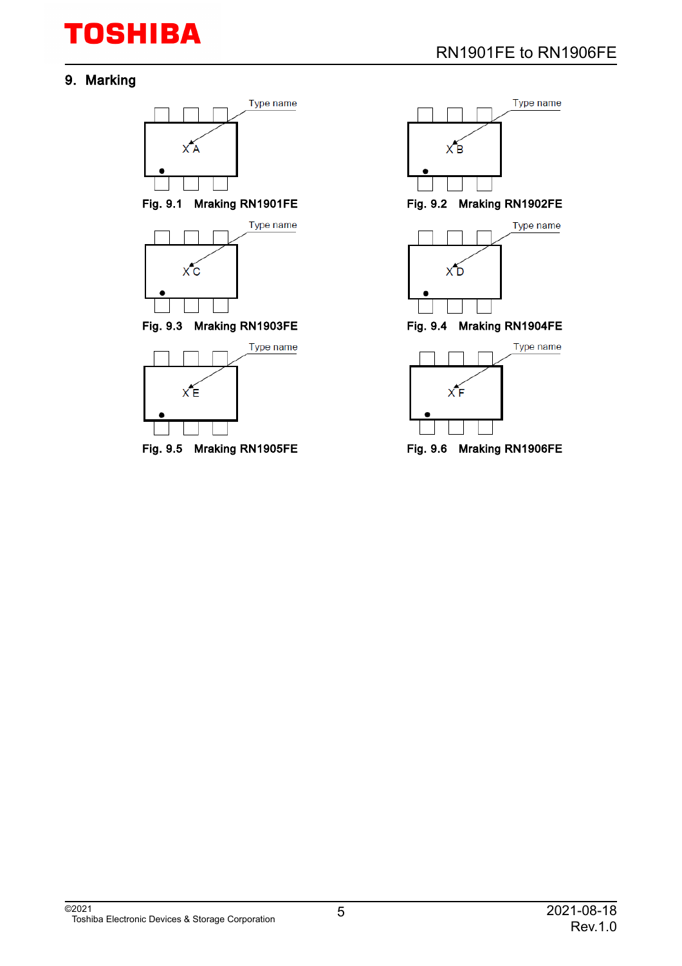# 9. Marking



Fig. 9.5 Mraking RN1905FE Fig. 9.6 Mraking RN1906FE

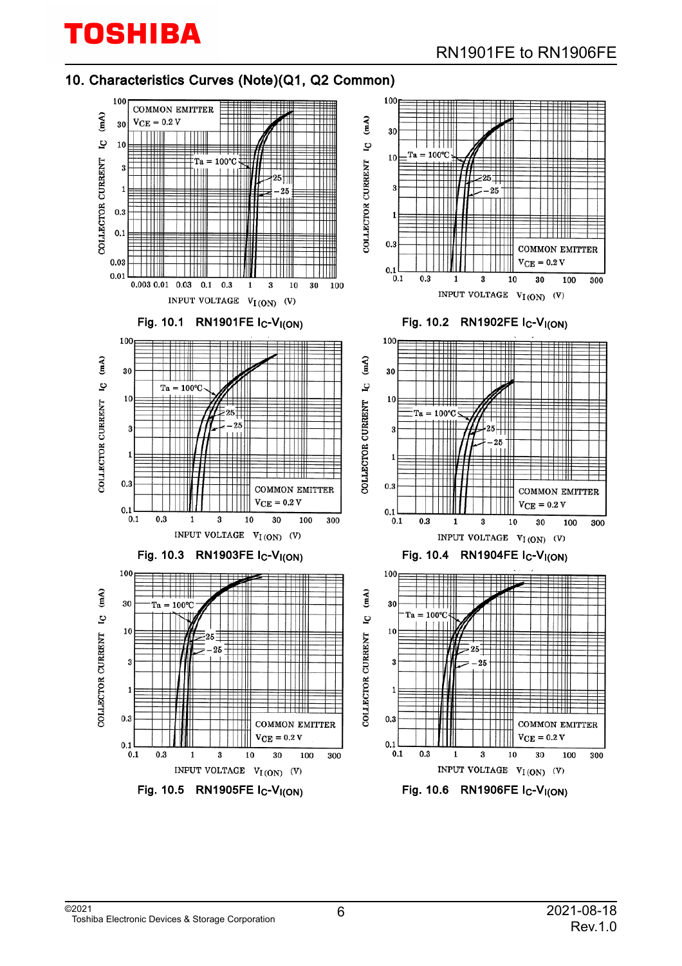### 10. Characteristics Curves (Note)(Q1, Q2 Common)

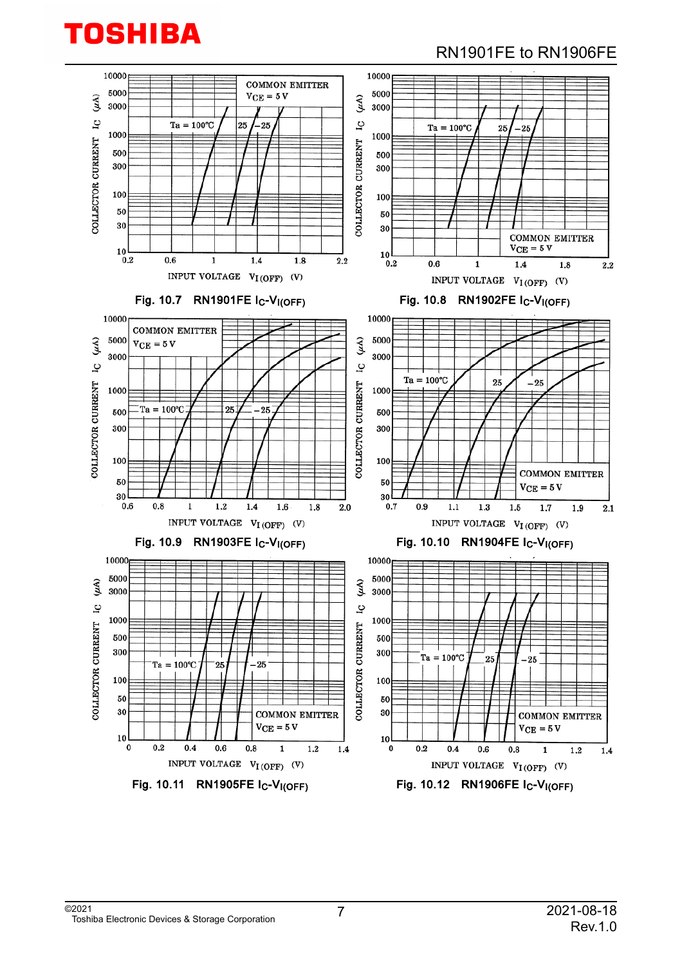# RN1901FE to RN1906FE

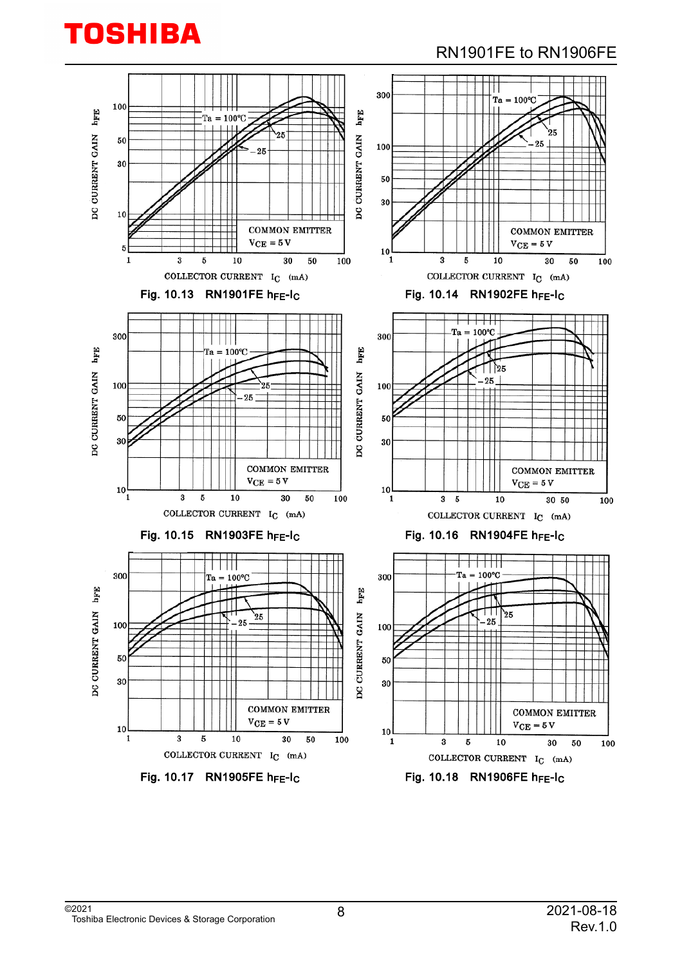# RN1901FE to RN1906FE

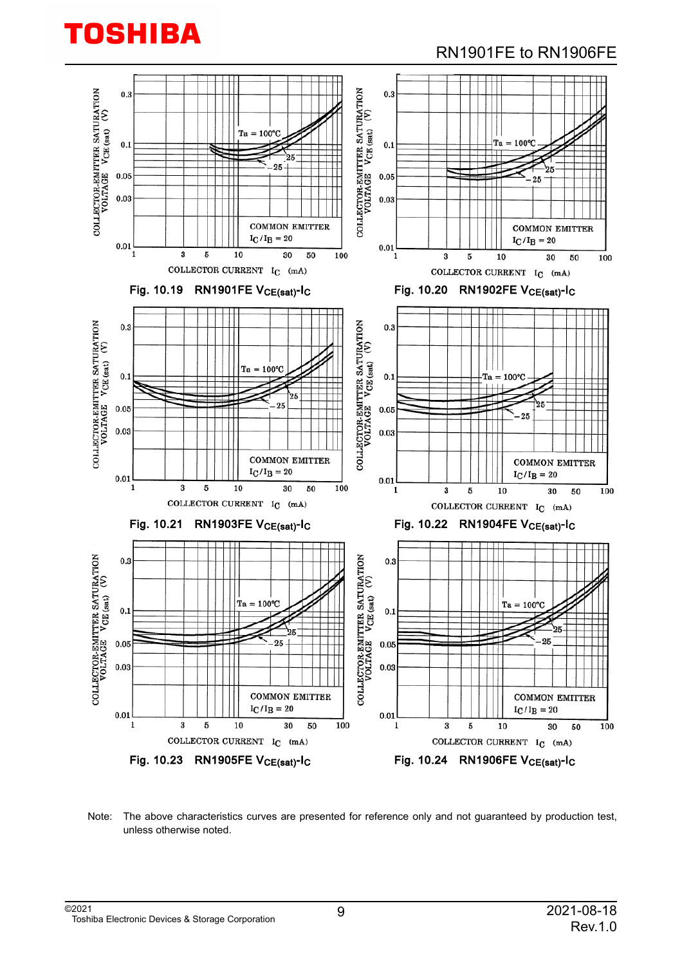

### RN1901FE to RN1906FE



Note: The above characteristics curves are presented for reference only and not guaranteed by production test, unless otherwise noted.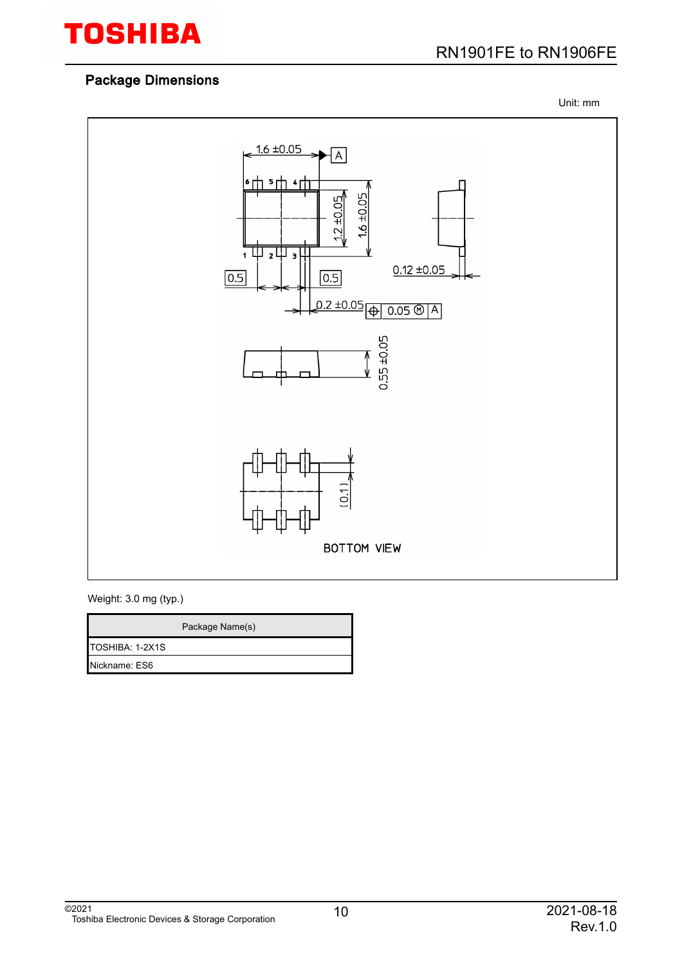

Unit: mm



Weight: 3.0 mg (typ.)

|                         | Package Name(s) |
|-------------------------|-----------------|
| <b>ITOSHIBA: 1-2X1S</b> |                 |
| Nickname: ES6           |                 |